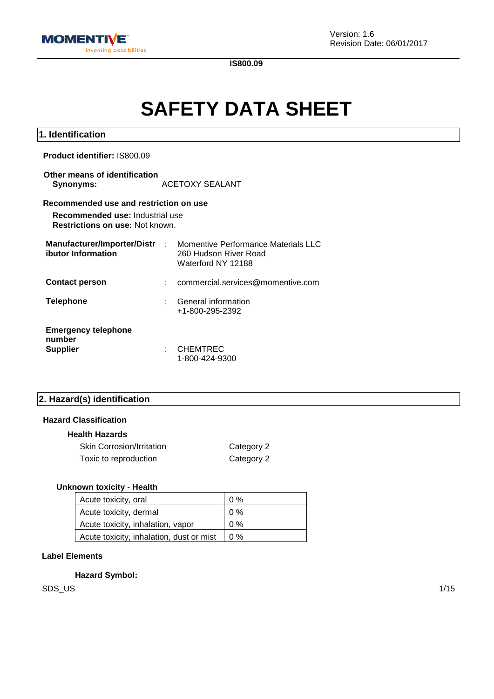

**1. Identification**

**IS800.09**

# **SAFETY DATA SHEET**

| <b>Product identifier: IS800.09</b>                                                                                 |    |                                                                                      |
|---------------------------------------------------------------------------------------------------------------------|----|--------------------------------------------------------------------------------------|
| Other means of identification<br>Synonyms:                                                                          |    | ACETOXY SEALANT                                                                      |
| Recommended use and restriction on use<br>Recommended use: Industrial use<br><b>Restrictions on use: Not known.</b> |    |                                                                                      |
| Manufacturer/Importer/Distr<br>ibutor Information                                                                   |    | : Momentive Performance Materials LLC<br>260 Hudson River Road<br>Waterford NY 12188 |
| <b>Contact person</b>                                                                                               |    | commercial.services@momentive.com                                                    |
| <b>Telephone</b>                                                                                                    |    | <b>General information</b><br>+1-800-295-2392                                        |
| <b>Emergency telephone</b><br>number<br><b>Supplier</b>                                                             | ٠. | CHEMTREC<br>1-800-424-9300                                                           |

## **2. Hazard(s) identification**

### **Hazard Classification**

## **Health Hazards**

| <b>Skin Corrosion/Irritation</b> | Category 2 |
|----------------------------------|------------|
| Toxic to reproduction            | Category 2 |

## **Unknown toxicity** - **Health**

| Acute toxicity, oral                     | $0\%$ |
|------------------------------------------|-------|
| Acute toxicity, dermal                   | $0\%$ |
| Acute toxicity, inhalation, vapor        | $0\%$ |
| Acute toxicity, inhalation, dust or mist | $0\%$ |

## **Label Elements**

**Hazard Symbol:**

SDS\_US 1/15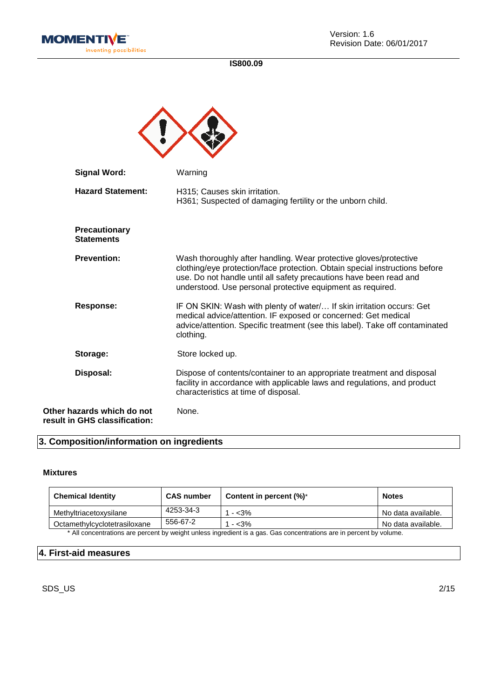



| <b>Signal Word:</b>                                         | Warning                                                                                                                                                                                                                                                                              |
|-------------------------------------------------------------|--------------------------------------------------------------------------------------------------------------------------------------------------------------------------------------------------------------------------------------------------------------------------------------|
| <b>Hazard Statement:</b>                                    | H315; Causes skin irritation.<br>H361; Suspected of damaging fertility or the unborn child.                                                                                                                                                                                          |
| <b>Precautionary</b><br><b>Statements</b>                   |                                                                                                                                                                                                                                                                                      |
| <b>Prevention:</b>                                          | Wash thoroughly after handling. Wear protective gloves/protective<br>clothing/eye protection/face protection. Obtain special instructions before<br>use. Do not handle until all safety precautions have been read and<br>understood. Use personal protective equipment as required. |
| <b>Response:</b>                                            | IF ON SKIN: Wash with plenty of water/ If skin irritation occurs: Get<br>medical advice/attention. IF exposed or concerned: Get medical<br>advice/attention. Specific treatment (see this label). Take off contaminated<br>clothing.                                                 |
| Storage:                                                    | Store locked up.                                                                                                                                                                                                                                                                     |
| Disposal:                                                   | Dispose of contents/container to an appropriate treatment and disposal<br>facility in accordance with applicable laws and regulations, and product<br>characteristics at time of disposal.                                                                                           |
| Other hazards which do not<br>result in GHS classification: | None.                                                                                                                                                                                                                                                                                |

## **3. Composition/information on ingredients**

### **Mixtures**

| <b>Chemical Identity</b>                                                                                           | <b>CAS number</b> | Content in percent $(\%)^*$ | <b>Notes</b>       |
|--------------------------------------------------------------------------------------------------------------------|-------------------|-----------------------------|--------------------|
| Methyltriacetoxysilane                                                                                             | 4253-34-3         | 1 - <3%                     | No data available. |
| Octamethylcyclotetrasiloxane                                                                                       | 556-67-2          | 1 - <3%                     | No data available. |
| * All concentrations are persont by weight unless ingredient is a gas. Cas concentrations are in persont by velume |                   |                             |                    |

All concentrations are percent by weight unless ingredient is a gas. Gas concentrations are in percent by volume.

## **4. First-aid measures**

SDS\_US 2/15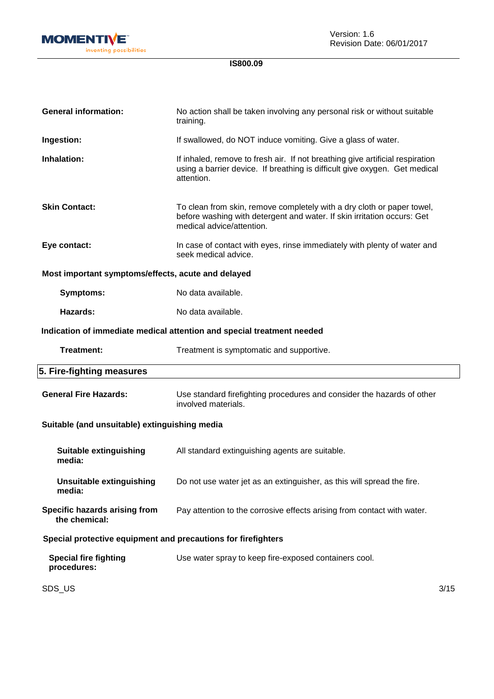

| <b>General information:</b>                                   | No action shall be taken involving any personal risk or without suitable<br>training.                                                                                          |      |
|---------------------------------------------------------------|--------------------------------------------------------------------------------------------------------------------------------------------------------------------------------|------|
| Ingestion:                                                    | If swallowed, do NOT induce vomiting. Give a glass of water.                                                                                                                   |      |
| Inhalation:                                                   | If inhaled, remove to fresh air. If not breathing give artificial respiration<br>using a barrier device. If breathing is difficult give oxygen. Get medical<br>attention.      |      |
| <b>Skin Contact:</b>                                          | To clean from skin, remove completely with a dry cloth or paper towel,<br>before washing with detergent and water. If skin irritation occurs: Get<br>medical advice/attention. |      |
| Eye contact:                                                  | In case of contact with eyes, rinse immediately with plenty of water and<br>seek medical advice.                                                                               |      |
| Most important symptoms/effects, acute and delayed            |                                                                                                                                                                                |      |
| <b>Symptoms:</b>                                              | No data available.                                                                                                                                                             |      |
| Hazards:                                                      | No data available.                                                                                                                                                             |      |
|                                                               | Indication of immediate medical attention and special treatment needed                                                                                                         |      |
| Treatment:                                                    | Treatment is symptomatic and supportive.                                                                                                                                       |      |
| 5. Fire-fighting measures                                     |                                                                                                                                                                                |      |
| <b>General Fire Hazards:</b>                                  | Use standard firefighting procedures and consider the hazards of other<br>involved materials.                                                                                  |      |
| Suitable (and unsuitable) extinguishing media                 |                                                                                                                                                                                |      |
| <b>Suitable extinguishing</b><br>media:                       | All standard extinguishing agents are suitable.                                                                                                                                |      |
| <b>Unsuitable extinguishing</b><br>media:                     | Do not use water jet as an extinguisher, as this will spread the fire.                                                                                                         |      |
| Specific hazards arising from<br>the chemical:                | Pay attention to the corrosive effects arising from contact with water.                                                                                                        |      |
| Special protective equipment and precautions for firefighters |                                                                                                                                                                                |      |
| <b>Special fire fighting</b><br>procedures:                   | Use water spray to keep fire-exposed containers cool.                                                                                                                          |      |
| SDS_US                                                        |                                                                                                                                                                                | 3/15 |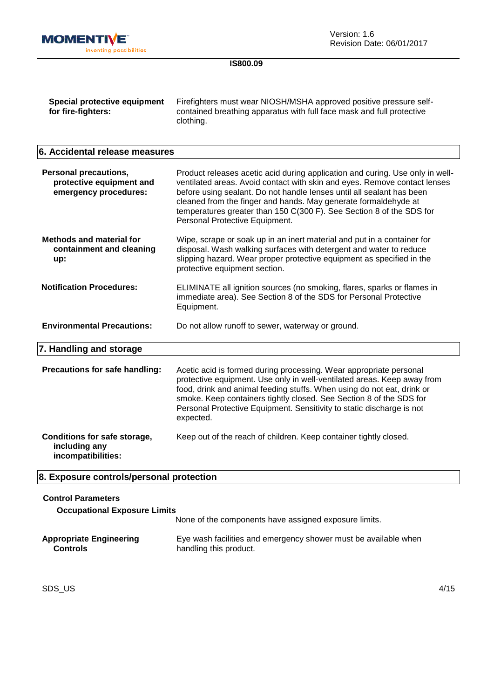

| Special protective equipment | Firefighters must wear NIOSH/MSHA approved positive pressure self-    |
|------------------------------|-----------------------------------------------------------------------|
| for fire-fighters:           | contained breathing apparatus with full face mask and full protective |
|                              | clothing.                                                             |

## **6. Accidental release measures**

| <b>Personal precautions,</b><br>protective equipment and<br>emergency procedures: | Product releases acetic acid during application and curing. Use only in well-<br>ventilated areas. Avoid contact with skin and eyes. Remove contact lenses<br>before using sealant. Do not handle lenses until all sealant has been<br>cleaned from the finger and hands. May generate formaldehyde at<br>temperatures greater than 150 C(300 F). See Section 8 of the SDS for<br>Personal Protective Equipment. |
|-----------------------------------------------------------------------------------|------------------------------------------------------------------------------------------------------------------------------------------------------------------------------------------------------------------------------------------------------------------------------------------------------------------------------------------------------------------------------------------------------------------|
| <b>Methods and material for</b><br>containment and cleaning<br>up:                | Wipe, scrape or soak up in an inert material and put in a container for<br>disposal. Wash walking surfaces with detergent and water to reduce<br>slipping hazard. Wear proper protective equipment as specified in the<br>protective equipment section.                                                                                                                                                          |
| <b>Notification Procedures:</b>                                                   | ELIMINATE all ignition sources (no smoking, flares, sparks or flames in<br>immediate area). See Section 8 of the SDS for Personal Protective<br>Equipment.                                                                                                                                                                                                                                                       |
| <b>Environmental Precautions:</b>                                                 | Do not allow runoff to sewer, waterway or ground.                                                                                                                                                                                                                                                                                                                                                                |
| 7. Handling and storage                                                           |                                                                                                                                                                                                                                                                                                                                                                                                                  |
| Precautions for safe handling:                                                    | Acetic acid is formed during processing. Wear appropriate personal<br>protective equipment. Use only in well-ventilated areas. Keep away from<br>food, drink and animal feeding stuffs. When using do not eat, drink or<br>smoke. Keep containers tightly closed. See Section 8 of the SDS for<br>Personal Protective Equipment. Sensitivity to static discharge is not<br>expected.                             |
| Conditions for safe storage,<br>including any<br>incompatibilities:               | Keep out of the reach of children. Keep container tightly closed.                                                                                                                                                                                                                                                                                                                                                |

# **8. Exposure controls/personal protection**

| <b>Control Parameters</b><br><b>Occupational Exposure Limits</b> |                                                                                           |
|------------------------------------------------------------------|-------------------------------------------------------------------------------------------|
|                                                                  | None of the components have assigned exposure limits.                                     |
| <b>Appropriate Engineering</b><br><b>Controls</b>                | Eye wash facilities and emergency shower must be available when<br>handling this product. |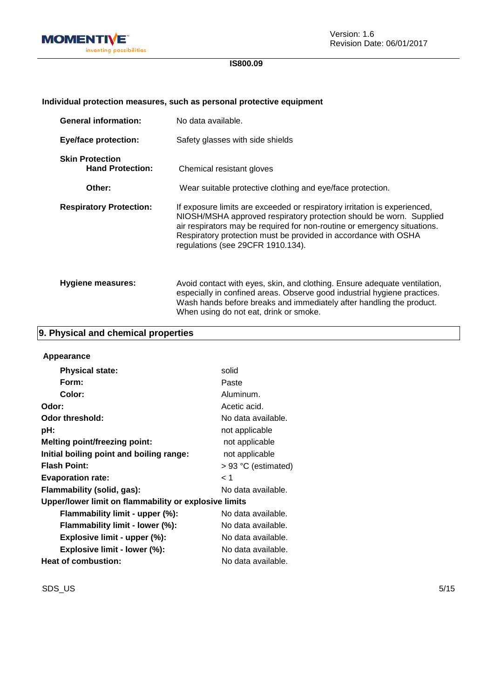

## **Individual protection measures, such as personal protective equipment**

| <b>General information:</b>                       | No data available.                                                                                                                                                                                                                                                                                                                   |
|---------------------------------------------------|--------------------------------------------------------------------------------------------------------------------------------------------------------------------------------------------------------------------------------------------------------------------------------------------------------------------------------------|
| <b>Eye/face protection:</b>                       | Safety glasses with side shields                                                                                                                                                                                                                                                                                                     |
| <b>Skin Protection</b><br><b>Hand Protection:</b> | Chemical resistant gloves                                                                                                                                                                                                                                                                                                            |
| Other:                                            | Wear suitable protective clothing and eye/face protection.                                                                                                                                                                                                                                                                           |
| <b>Respiratory Protection:</b>                    | If exposure limits are exceeded or respiratory irritation is experienced,<br>NIOSH/MSHA approved respiratory protection should be worn. Supplied<br>air respirators may be required for non-routine or emergency situations.<br>Respiratory protection must be provided in accordance with OSHA<br>regulations (see 29CFR 1910.134). |
| Hygiene measures:                                 | Avoid contact with eyes, skin, and clothing. Ensure adequate ventilation,<br>especially in confined areas. Observe good industrial hygiene practices.<br>Wash hands before breaks and immediately after handling the product.<br>When using do not eat, drink or smoke.                                                              |

## **9. Physical and chemical properties**

| Appearance                                            |                       |
|-------------------------------------------------------|-----------------------|
| <b>Physical state:</b>                                | solid                 |
| Form:                                                 | Paste                 |
| Color:                                                | Aluminum.             |
| Odor:                                                 | Acetic acid.          |
| Odor threshold:                                       | No data available.    |
| pH:                                                   | not applicable        |
| <b>Melting point/freezing point:</b>                  | not applicable        |
| Initial boiling point and boiling range:              | not applicable        |
| <b>Flash Point:</b>                                   | $> 93$ °C (estimated) |
| <b>Evaporation rate:</b>                              | $\leq 1$              |
| Flammability (solid, gas):                            | No data available.    |
| Upper/lower limit on flammability or explosive limits |                       |
| Flammability limit - upper (%):                       | No data available.    |
| Flammability limit - lower (%):                       | No data available.    |
| Explosive limit - upper (%):                          | No data available.    |
| Explosive limit - lower (%):                          | No data available.    |
| Heat of combustion:                                   | No data available.    |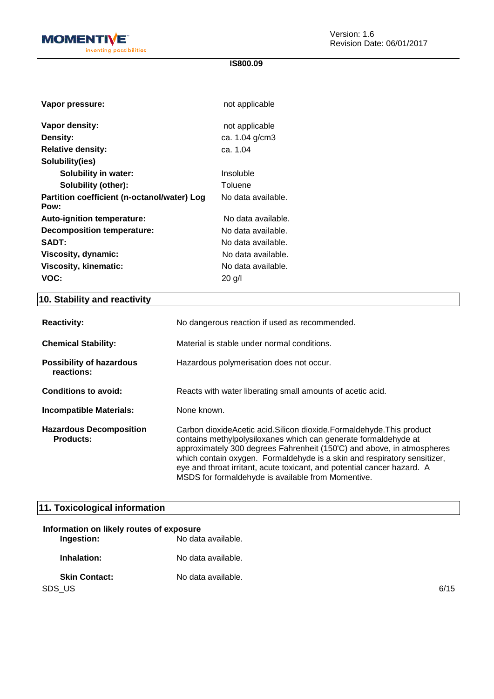

| Vapor pressure:                                     | not applicable     |
|-----------------------------------------------------|--------------------|
| Vapor density:                                      | not applicable     |
| Density:                                            | ca. 1.04 g/cm3     |
| <b>Relative density:</b>                            | ca. 1.04           |
| Solubility(ies)                                     |                    |
| <b>Solubility in water:</b>                         | Insoluble          |
| Solubility (other):                                 | Toluene            |
| Partition coefficient (n-octanol/water) Log<br>Pow: | No data available. |
| Auto-ignition temperature:                          | No data available. |
| <b>Decomposition temperature:</b>                   | No data available. |
|                                                     |                    |
| <b>SADT:</b>                                        | No data available. |
| Viscosity, dynamic:                                 | No data available. |
| <b>Viscosity, kinematic:</b>                        | No data available. |

# **10. Stability and reactivity**

| <b>Reactivity:</b>                                 | No dangerous reaction if used as recommended.                                                                                                                                                                                                                                                                                                                                                                                      |
|----------------------------------------------------|------------------------------------------------------------------------------------------------------------------------------------------------------------------------------------------------------------------------------------------------------------------------------------------------------------------------------------------------------------------------------------------------------------------------------------|
| <b>Chemical Stability:</b>                         | Material is stable under normal conditions.                                                                                                                                                                                                                                                                                                                                                                                        |
| <b>Possibility of hazardous</b><br>reactions:      | Hazardous polymerisation does not occur.                                                                                                                                                                                                                                                                                                                                                                                           |
| <b>Conditions to avoid:</b>                        | Reacts with water liberating small amounts of acetic acid.                                                                                                                                                                                                                                                                                                                                                                         |
| <b>Incompatible Materials:</b>                     | None known.                                                                                                                                                                                                                                                                                                                                                                                                                        |
| <b>Hazardous Decomposition</b><br><b>Products:</b> | Carbon dioxide Acetic acid. Silicon dioxide. Formalde hyde. This product<br>contains methylpolysiloxanes which can generate formaldehyde at<br>approximately 300 degrees Fahrenheit (150°C) and above, in atmospheres<br>which contain oxygen. Formaldehyde is a skin and respiratory sensitizer,<br>eye and throat irritant, acute toxicant, and potential cancer hazard. A<br>MSDS for formaldehyde is available from Momentive. |

# **11. Toxicological information**

| Information on likely routes of exposure |                    |      |
|------------------------------------------|--------------------|------|
| Ingestion:                               | No data available. |      |
| Inhalation:                              | No data available. |      |
| <b>Skin Contact:</b>                     | No data available. |      |
| SDS_US                                   |                    | 6/15 |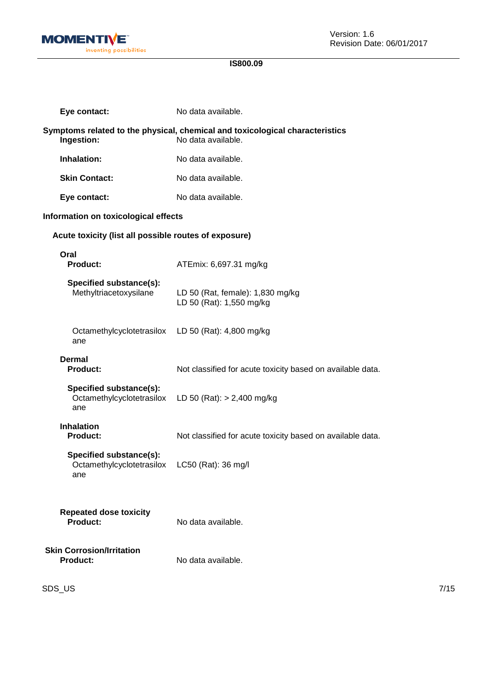

| Eye contact:                                                | No data available.                                                                                 |
|-------------------------------------------------------------|----------------------------------------------------------------------------------------------------|
| Ingestion:                                                  | Symptoms related to the physical, chemical and toxicological characteristics<br>No data available. |
| Inhalation:                                                 | No data available.                                                                                 |
| <b>Skin Contact:</b>                                        | No data available.                                                                                 |
| Eye contact:                                                | No data available.                                                                                 |
| Information on toxicological effects                        |                                                                                                    |
| Acute toxicity (list all possible routes of exposure)       |                                                                                                    |
| Oral<br><b>Product:</b>                                     | ATEmix: 6,697.31 mg/kg                                                                             |
| Specified substance(s):<br>Methyltriacetoxysilane           | LD 50 (Rat, female): 1,830 mg/kg<br>LD 50 (Rat): 1,550 mg/kg                                       |
| Octamethylcyclotetrasilox<br>ane                            | LD 50 (Rat): 4,800 mg/kg                                                                           |
| Dermal<br><b>Product:</b>                                   | Not classified for acute toxicity based on available data.                                         |
| Specified substance(s):<br>Octamethylcyclotetrasilox<br>ane | LD 50 (Rat): $> 2,400$ mg/kg                                                                       |
| <b>Inhalation</b><br>Product:                               | Not classified for acute toxicity based on available data.                                         |
| Specified substance(s):<br>Octamethylcyclotetrasilox<br>ane | LC50 (Rat): 36 mg/l                                                                                |
| <b>Repeated dose toxicity</b><br><b>Product:</b>            | No data available.                                                                                 |
| <b>Skin Corrosion/Irritation</b><br><b>Product:</b>         | No data available.                                                                                 |

SDS\_US 7/15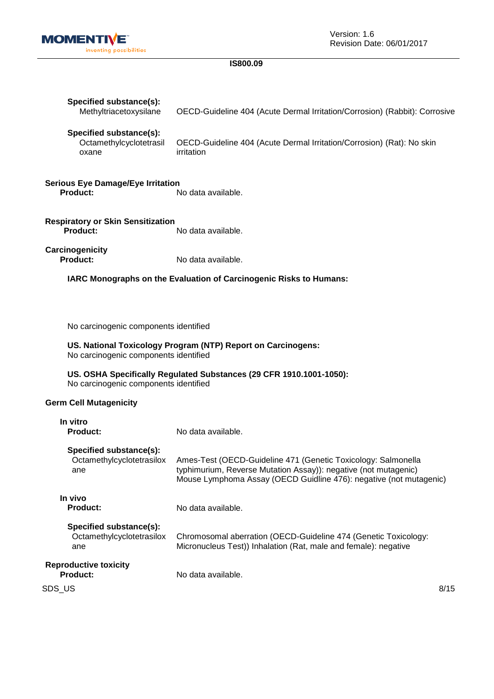

| Specified substance(s):<br>Methyltriacetoxysilane                                                     | OECD-Guideline 404 (Acute Dermal Irritation/Corrosion) (Rabbit): Corrosive                                                                                                                                                       |  |
|-------------------------------------------------------------------------------------------------------|----------------------------------------------------------------------------------------------------------------------------------------------------------------------------------------------------------------------------------|--|
| Specified substance(s):<br>Octamethylcyclotetrasil<br>oxane                                           | OECD-Guideline 404 (Acute Dermal Irritation/Corrosion) (Rat): No skin<br>irritation                                                                                                                                              |  |
| <b>Serious Eye Damage/Eye Irritation</b><br><b>Product:</b>                                           | No data available.                                                                                                                                                                                                               |  |
| <b>Respiratory or Skin Sensitization</b><br><b>Product:</b>                                           | No data available.                                                                                                                                                                                                               |  |
| Carcinogenicity<br><b>Product:</b>                                                                    | No data available.                                                                                                                                                                                                               |  |
| IARC Monographs on the Evaluation of Carcinogenic Risks to Humans:                                    |                                                                                                                                                                                                                                  |  |
|                                                                                                       |                                                                                                                                                                                                                                  |  |
| No carcinogenic components identified                                                                 |                                                                                                                                                                                                                                  |  |
| US. National Toxicology Program (NTP) Report on Carcinogens:<br>No carcinogenic components identified |                                                                                                                                                                                                                                  |  |
| No carcinogenic components identified                                                                 | US. OSHA Specifically Regulated Substances (29 CFR 1910.1001-1050):                                                                                                                                                              |  |
| <b>Germ Cell Mutagenicity</b>                                                                         |                                                                                                                                                                                                                                  |  |
| In vitro<br><b>Product:</b>                                                                           | No data available.                                                                                                                                                                                                               |  |
| Specified substance(s):<br>ane                                                                        | Octamethylcyclotetrasilox Ames-Test (OECD-Guideline 471 (Genetic Toxicology: Salmonella<br>typhimurium, Reverse Mutation Assay)): negative (not mutagenic)<br>Mouse Lymphoma Assay (OECD Guidline 476): negative (not mutagenic) |  |
| In vivo<br><b>Product:</b>                                                                            | No data available.                                                                                                                                                                                                               |  |
| Specified substance(s):<br>Octamethylcyclotetrasilox<br>ane                                           | Chromosomal aberration (OECD-Guideline 474 (Genetic Toxicology:<br>Micronucleus Test)) Inhalation (Rat, male and female): negative                                                                                               |  |
| <b>Reproductive toxicity</b><br><b>Product:</b>                                                       | No data available.                                                                                                                                                                                                               |  |
| SDS_US                                                                                                | 8/15                                                                                                                                                                                                                             |  |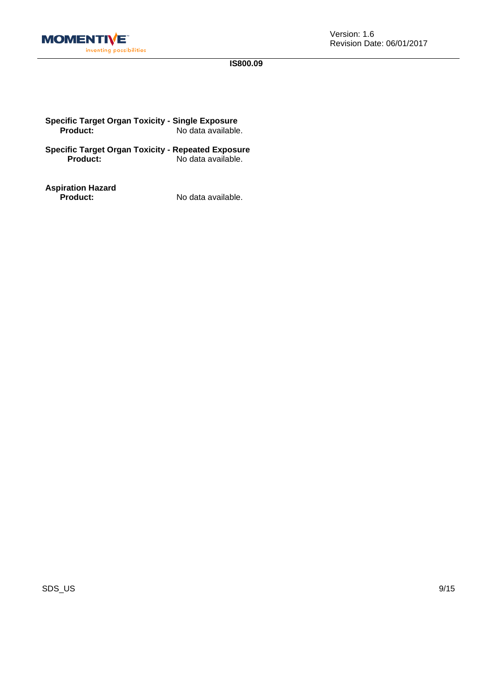

| <b>Specific Target Organ Toxicity - Single Exposure</b> |                    |
|---------------------------------------------------------|--------------------|
| <b>Product:</b>                                         | No data available. |

**Specific Target Organ Toxicity - Repeated Exposure Product:** No data available.

**Aspiration Hazard**

**Product:** No data available.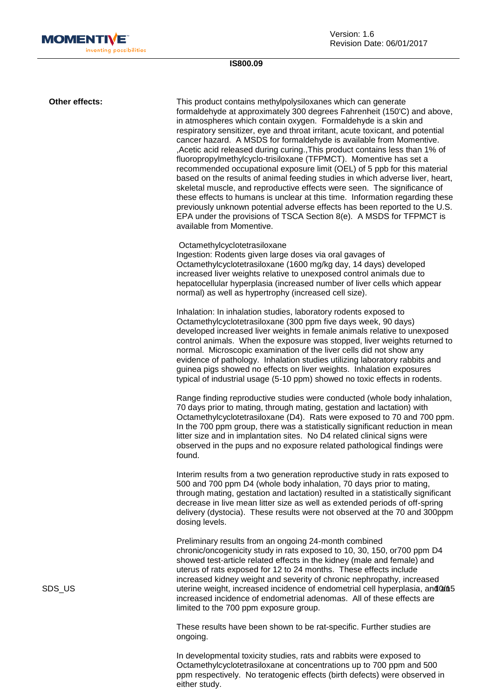

Version: 1.6 Revision Date: 06/01/2017

## **IS800.09**

SDS\_US 10/15 uterine weight, increased incidence of endometrial cell hyperplasia, and an **Other effects:** This product contains methylpolysiloxanes which can generate formaldehyde at approximately 300 degrees Fahrenheit (150'C) and above, in atmospheres which contain oxygen. Formaldehyde is a skin and respiratory sensitizer, eye and throat irritant, acute toxicant, and potential cancer hazard. A MSDS for formaldehyde is available from Momentive. ,Acetic acid released during curing.,This product contains less than 1% of fluoropropylmethylcyclo-trisiloxane (TFPMCT). Momentive has set a recommended occupational exposure limit (OEL) of 5 ppb for this material based on the results of animal feeding studies in which adverse liver, heart, skeletal muscle, and reproductive effects were seen. The significance of these effects to humans is unclear at this time. Information regarding these previously unknown potential adverse effects has been reported to the U.S. EPA under the provisions of TSCA Section 8(e). A MSDS for TFPMCT is available from Momentive. Octamethylcyclotetrasiloxane Ingestion: Rodents given large doses via oral gavages of Octamethylcyclotetrasiloxane (1600 mg/kg day, 14 days) developed increased liver weights relative to unexposed control animals due to hepatocellular hyperplasia (increased number of liver cells which appear normal) as well as hypertrophy (increased cell size). Inhalation: In inhalation studies, laboratory rodents exposed to Octamethylcyclotetrasiloxane (300 ppm five days week, 90 days) developed increased liver weights in female animals relative to unexposed control animals. When the exposure was stopped, liver weights returned to normal. Microscopic examination of the liver cells did not show any evidence of pathology. Inhalation studies utilizing laboratory rabbits and guinea pigs showed no effects on liver weights. Inhalation exposures typical of industrial usage (5-10 ppm) showed no toxic effects in rodents. Range finding reproductive studies were conducted (whole body inhalation, 70 days prior to mating, through mating, gestation and lactation) with Octamethylcyclotetrasiloxane (D4). Rats were exposed to 70 and 700 ppm. In the 700 ppm group, there was a statistically significant reduction in mean litter size and in implantation sites. No D4 related clinical signs were observed in the pups and no exposure related pathological findings were found. Interim results from a two generation reproductive study in rats exposed to 500 and 700 ppm D4 (whole body inhalation, 70 days prior to mating, through mating, gestation and lactation) resulted in a statistically significant decrease in live mean litter size as well as extended periods of off-spring delivery (dystocia). These results were not observed at the 70 and 300ppm dosing levels. Preliminary results from an ongoing 24-month combined chronic/oncogenicity study in rats exposed to 10, 30, 150, or700 ppm D4 showed test-article related effects in the kidney (male and female) and uterus of rats exposed for 12 to 24 months. These effects include increased kidney weight and severity of chronic nephropathy, increased increased incidence of endometrial adenomas. All of these effects are limited to the 700 ppm exposure group. These results have been shown to be rat-specific. Further studies are ongoing.

> In developmental toxicity studies, rats and rabbits were exposed to Octamethylcyclotetrasiloxane at concentrations up to 700 ppm and 500 ppm respectively. No teratogenic effects (birth defects) were observed in either study.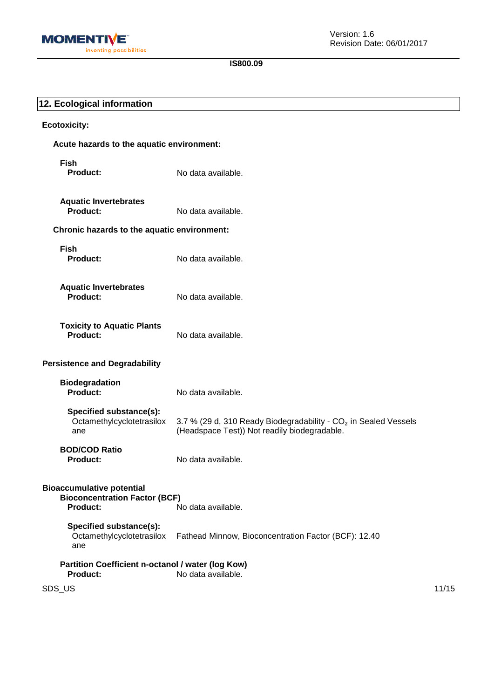

| 12. Ecological information                                                                  |                                                                                                                             |       |
|---------------------------------------------------------------------------------------------|-----------------------------------------------------------------------------------------------------------------------------|-------|
| <b>Ecotoxicity:</b>                                                                         |                                                                                                                             |       |
| Acute hazards to the aquatic environment:                                                   |                                                                                                                             |       |
| <b>Fish</b><br><b>Product:</b>                                                              | No data available.                                                                                                          |       |
| <b>Aquatic Invertebrates</b><br><b>Product:</b>                                             | No data available.                                                                                                          |       |
| Chronic hazards to the aquatic environment:                                                 |                                                                                                                             |       |
| <b>Fish</b><br>Product:                                                                     | No data available.                                                                                                          |       |
| <b>Aquatic Invertebrates</b><br><b>Product:</b>                                             | No data available.                                                                                                          |       |
| <b>Toxicity to Aquatic Plants</b><br><b>Product:</b>                                        | No data available.                                                                                                          |       |
| <b>Persistence and Degradability</b>                                                        |                                                                                                                             |       |
| <b>Biodegradation</b><br><b>Product:</b>                                                    | No data available.                                                                                                          |       |
| Specified substance(s):<br>Octamethylcyclotetrasilox<br>ane                                 | 3.7 % (29 d, 310 Ready Biodegradability - CO <sub>2</sub> in Sealed Vessels<br>(Headspace Test)) Not readily biodegradable. |       |
| <b>BOD/COD Ratio</b><br><b>Product:</b>                                                     | No data available.                                                                                                          |       |
| <b>Bioaccumulative potential</b><br><b>Bioconcentration Factor (BCF)</b><br><b>Product:</b> | No data available.                                                                                                          |       |
| Specified substance(s):<br>Octamethylcyclotetrasilox<br>ane                                 | Fathead Minnow, Bioconcentration Factor (BCF): 12.40                                                                        |       |
| Partition Coefficient n-octanol / water (log Kow)<br><b>Product:</b>                        | No data available.                                                                                                          |       |
| SDS_US                                                                                      |                                                                                                                             | 11/15 |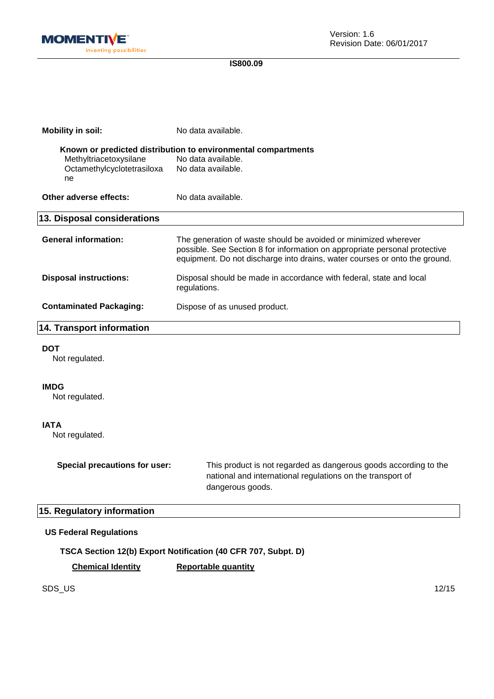

| <b>Mobility in soil:</b>         | No data available.                                                                                                                                                                                                          |
|----------------------------------|-----------------------------------------------------------------------------------------------------------------------------------------------------------------------------------------------------------------------------|
|                                  | Known or predicted distribution to environmental compartments                                                                                                                                                               |
| Methyltriacetoxysilane           | No data available.                                                                                                                                                                                                          |
| Octamethylcyclotetrasiloxa<br>ne | No data available.                                                                                                                                                                                                          |
| Other adverse effects:           | No data available.                                                                                                                                                                                                          |
| 13. Disposal considerations      |                                                                                                                                                                                                                             |
| <b>General information:</b>      | The generation of waste should be avoided or minimized wherever<br>possible. See Section 8 for information on appropriate personal protective<br>equipment. Do not discharge into drains, water courses or onto the ground. |
| <b>Disposal instructions:</b>    | Disposal should be made in accordance with federal, state and local<br>regulations.                                                                                                                                         |
| <b>Contaminated Packaging:</b>   | Dispose of as unused product.                                                                                                                                                                                               |
| <b>14. Transport information</b> |                                                                                                                                                                                                                             |

#### **DOT**

Not regulated.

#### **IMDG**

Not regulated.

## **IATA**

Not regulated.

**Special precautions for user:** This product is not regarded as dangerous goods according to the national and international regulations on the transport of dangerous goods.

## **15. Regulatory information**

## **US Federal Regulations**

**TSCA Section 12(b) Export Notification (40 CFR 707, Subpt. D)**

**Chemical Identity Reportable quantity**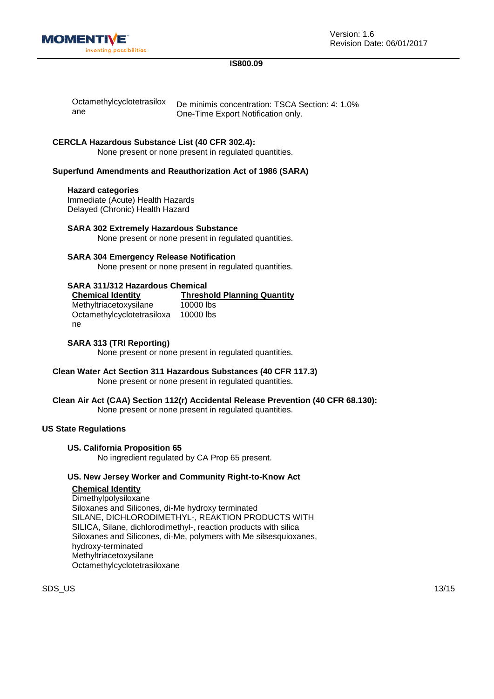

Version: 1.6 Revision Date: 06/01/2017

## **IS800.09**

| Octamethylcyclotetrasilox | De minimis concentration: TSCA Section: 4: 1.0% |
|---------------------------|-------------------------------------------------|
| ane                       | One-Time Export Notification only.              |

#### **CERCLA Hazardous Substance List (40 CFR 302.4):**

None present or none present in regulated quantities.

## **Superfund Amendments and Reauthorization Act of 1986 (SARA)**

#### **Hazard categories**

Immediate (Acute) Health Hazards Delayed (Chronic) Health Hazard

**SARA 302 Extremely Hazardous Substance** None present or none present in regulated quantities.

## **SARA 304 Emergency Release Notification**

None present or none present in regulated quantities.

## **SARA 311/312 Hazardous Chemical**

| <b>Chemical Identity</b>   | <b>Threshold Planning Quantity</b> |
|----------------------------|------------------------------------|
| Methyltriacetoxysilane     | 10000 lbs                          |
| Octamethylcyclotetrasiloxa | 10000 lbs                          |
| ne.                        |                                    |

### **SARA 313 (TRI Reporting)**

None present or none present in regulated quantities.

#### **Clean Water Act Section 311 Hazardous Substances (40 CFR 117.3)** None present or none present in regulated quantities.

#### **Clean Air Act (CAA) Section 112(r) Accidental Release Prevention (40 CFR 68.130):** None present or none present in regulated quantities.

## **US State Regulations**

#### **US. California Proposition 65**

No ingredient regulated by CA Prop 65 present.

## **US. New Jersey Worker and Community Right-to-Know Act**

#### **Chemical Identity**

**Dimethylpolysiloxane** Siloxanes and Silicones, di-Me hydroxy terminated SILANE, DICHLORODIMETHYL-, REAKTION PRODUCTS WITH SILICA, Silane, dichlorodimethyl-, reaction products with silica Siloxanes and Silicones, di-Me, polymers with Me silsesquioxanes, hydroxy-terminated Methyltriacetoxysilane Octamethylcyclotetrasiloxane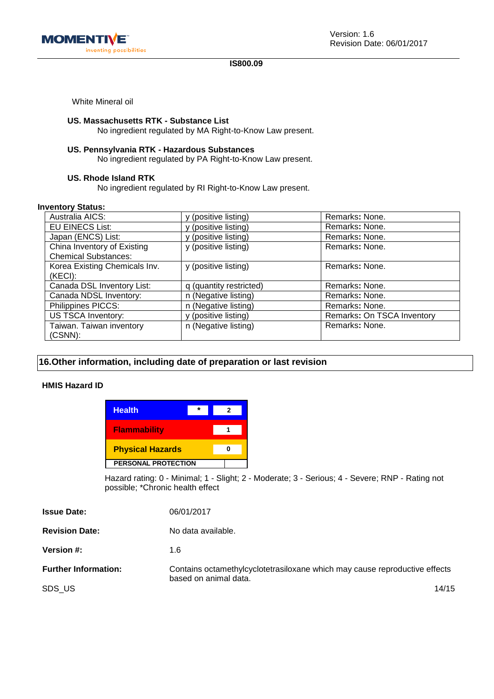

White Mineral oil

### **US. Massachusetts RTK - Substance List**

No ingredient regulated by MA Right-to-Know Law present.

## **US. Pennsylvania RTK - Hazardous Substances**

No ingredient regulated by PA Right-to-Know Law present.

### **US. Rhode Island RTK**

No ingredient regulated by RI Right-to-Know Law present.

#### **Inventory Status:**

| Australia AICS:               | (positive listing)      | Remarks: None.             |
|-------------------------------|-------------------------|----------------------------|
| <b>EU EINECS List:</b>        | (positive listing)      | Remarks: None.             |
| Japan (ENCS) List:            | y (positive listing)    | Remarks: None.             |
| China Inventory of Existing   | y (positive listing)    | Remarks: None.             |
| <b>Chemical Substances:</b>   |                         |                            |
| Korea Existing Chemicals Inv. | y (positive listing)    | Remarks: None.             |
| (KECI):                       |                         |                            |
| Canada DSL Inventory List:    | q (quantity restricted) | Remarks: None.             |
| Canada NDSL Inventory:        | n (Negative listing)    | Remarks: None.             |
| Philippines PICCS:            | n (Negative listing)    | Remarks: None.             |
| US TSCA Inventory:            | y (positive listing)    | Remarks: On TSCA Inventory |
| Taiwan. Taiwan inventory      | n (Negative listing)    | Remarks: None.             |
| $(CSNN)$ :                    |                         |                            |

## **16.Other information, including date of preparation or last revision**

### **HMIS Hazard ID**

| <b>Health</b>              |  |  |
|----------------------------|--|--|
| <b>Flammability</b>        |  |  |
| <b>Physical Hazards</b>    |  |  |
| <b>PERSONAL PROTECTION</b> |  |  |

Hazard rating: 0 - Minimal; 1 - Slight; 2 - Moderate; 3 - Serious; 4 - Severe; RNP - Rating not possible; \*Chronic health effect

| <b>Issue Date:</b>          | 06/01/2017                                                                                          |
|-----------------------------|-----------------------------------------------------------------------------------------------------|
| <b>Revision Date:</b>       | No data available.                                                                                  |
| <b>Version #:</b>           | 1.6                                                                                                 |
| <b>Further Information:</b> | Contains octamethylcyclotetrasiloxane which may cause reproductive effects<br>based on animal data. |

SDS\_US 14/15